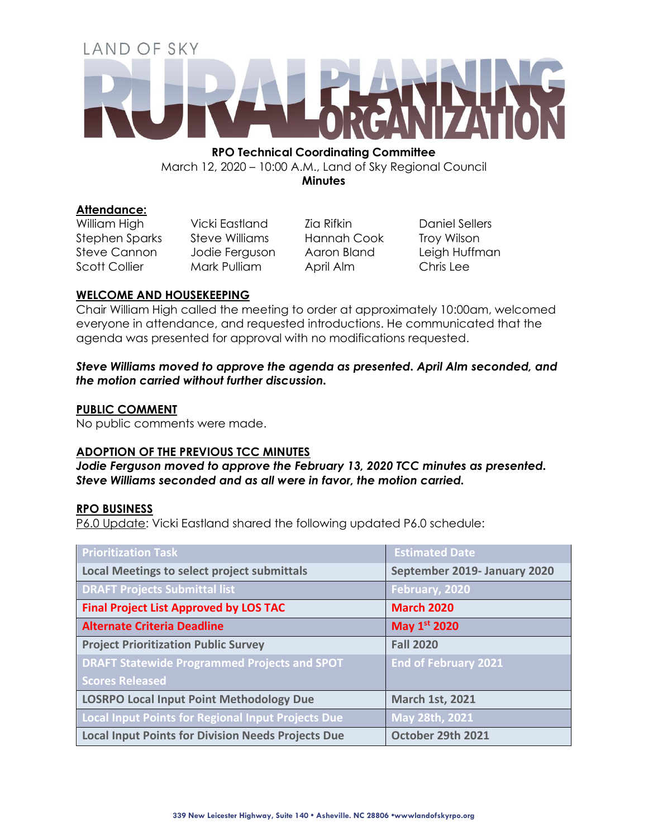# LAND OF SKY

**RPO Technical Coordinating Committee** March 12, 2020 – 10:00 A.M., Land of Sky Regional Council **Minutes**

## **Attendance:**

William High Vicki Eastland Zia Rifkin Daniel Sellers

Stephen Sparks Steve Williams Hannah Cook Troy Wilson Steve Cannon Jodie Ferguson Aaron Bland Leigh Huffman Scott Collier Mark Pulliam April Alm Chris Lee

# **WELCOME AND HOUSEKEEPING**

Chair William High called the meeting to order at approximately 10:00am, welcomed everyone in attendance, and requested introductions. He communicated that the agenda was presented for approval with no modifications requested.

## *Steve Williams moved to approve the agenda as presented. April Alm seconded, and the motion carried without further discussion.*

# **PUBLIC COMMENT**

No public comments were made.

## **ADOPTION OF THE PREVIOUS TCC MINUTES**

*Jodie Ferguson moved to approve the February 13, 2020 TCC minutes as presented. Steve Williams seconded and as all were in favor, the motion carried.*

## **RPO BUSINESS**

P6.0 Update: Vicki Eastland shared the following updated P6.0 schedule:

| <b>Prioritization Task</b>                                | <b>Estimated Date</b>        |
|-----------------------------------------------------------|------------------------------|
| <b>Local Meetings to select project submittals</b>        | September 2019- January 2020 |
| <b>DRAFT Projects Submittal list</b>                      | February, 2020               |
| <b>Final Project List Approved by LOS TAC</b>             | <b>March 2020</b>            |
| <b>Alternate Criteria Deadline</b>                        | May 1st 2020                 |
| <b>Project Prioritization Public Survey</b>               | <b>Fall 2020</b>             |
| <b>DRAFT Statewide Programmed Projects and SPOT</b>       | <b>End of February 2021</b>  |
| <b>Scores Released</b>                                    |                              |
| LOSRPO Local Input Point Methodology Due                  | <b>March 1st, 2021</b>       |
| Local Input Points for Regional Input Projects Due        | May 28th, 2021               |
| <b>Local Input Points for Division Needs Projects Due</b> | October 29th 2021            |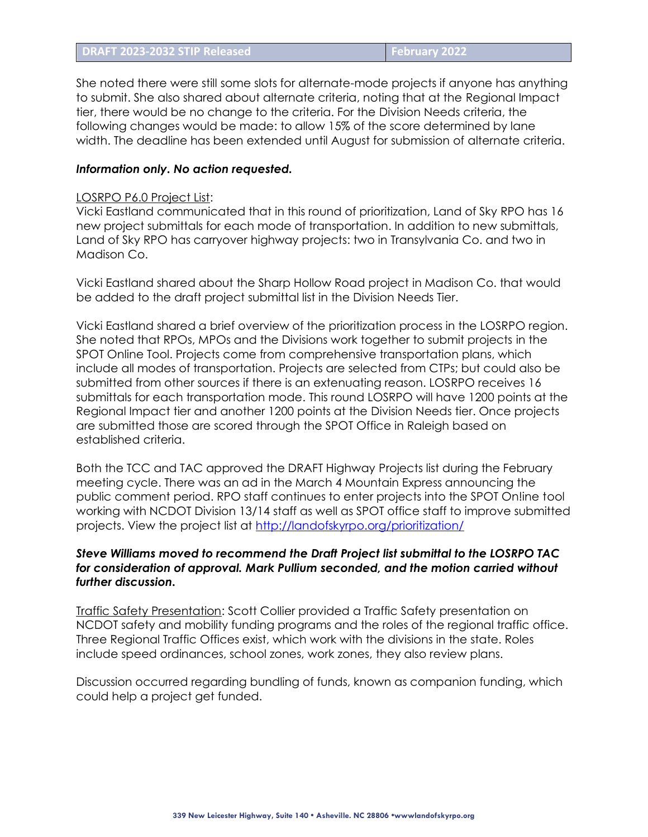She noted there were still some slots for alternate-mode projects if anyone has anything to submit. She also shared about alternate criteria, noting that at the Regional Impact tier, there would be no change to the criteria. For the Division Needs criteria, the following changes would be made: to allow 15% of the score determined by lane width. The deadline has been extended until August for submission of alternate criteria.

#### *Information only. No action requested.*

#### LOSRPO P6.0 Project List:

Vicki Eastland communicated that in this round of prioritization, Land of Sky RPO has 16 new project submittals for each mode of transportation. In addition to new submittals, Land of Sky RPO has carryover highway projects: two in Transylvania Co. and two in Madison Co.

Vicki Eastland shared about the Sharp Hollow Road project in Madison Co. that would be added to the draft project submittal list in the Division Needs Tier.

Vicki Eastland shared a brief overview of the prioritization process in the LOSRPO region. She noted that RPOs, MPOs and the Divisions work together to submit projects in the SPOT Online Tool. Projects come from comprehensive transportation plans, which include all modes of transportation. Projects are selected from CTPs; but could also be submitted from other sources if there is an extenuating reason. LOSRPO receives 16 submittals for each transportation mode. This round LOSRPO will have 1200 points at the Regional Impact tier and another 1200 points at the Division Needs tier. Once projects are submitted those are scored through the SPOT Office in Raleigh based on established criteria.

Both the TCC and TAC approved the DRAFT Highway Projects list during the February meeting cycle. There was an ad in the March 4 Mountain Express announcing the public comment period. RPO staff continues to enter projects into the SPOT On!ine tool working with NCDOT Division 13/14 staff as well as SPOT office staff to improve submitted projects. View the project list at<http://landofskyrpo.org/prioritization/>

## *Steve Williams moved to recommend the Draft Project list submittal to the LOSRPO TAC for consideration of approval. Mark Pullium seconded, and the motion carried without further discussion.*

Traffic Safety Presentation: Scott Collier provided a Traffic Safety presentation on NCDOT safety and mobility funding programs and the roles of the regional traffic office. Three Regional Traffic Offices exist, which work with the divisions in the state. Roles include speed ordinances, school zones, work zones, they also review plans.

Discussion occurred regarding bundling of funds, known as companion funding, which could help a project get funded.